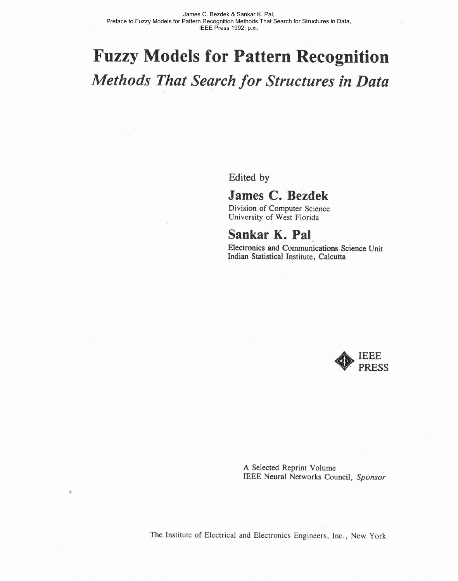## **Fuzzy Models for Pattern Recognition**  *Methods That Search for Structures in Data*

**Edited** by

## James C. Bezdek

Division of Computer Science University of West Florida

## **Sankar K. Pal.**

Electronics and Communications Science Unit Indian Statistical Institute, Calcutta



**A** Selected Reprint Volume IEEE Neural Networks Council, Sponsor

The Institute of Electrical and Electronics Engineers, Inc., New York

 $\hat{\mathbf{a}}$